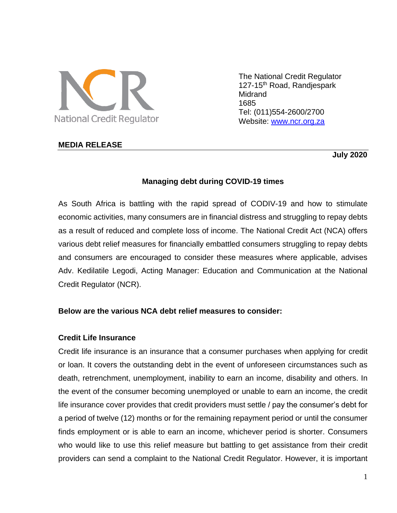

The National Credit Regulator 127-15<sup>th</sup> Road, Randjespark **Midrand** 1685 Tel: (011)554-2600/2700 Website: [www.ncr.org.za](http://www.ncr.org.za/)

## **MEDIA RELEASE**

 **July 2020**

# **Managing debt during COVID-19 times**

As South Africa is battling with the rapid spread of CODIV-19 and how to stimulate economic activities, many consumers are in financial distress and struggling to repay debts as a result of reduced and complete loss of income. The National Credit Act (NCA) offers various debt relief measures for financially embattled consumers struggling to repay debts and consumers are encouraged to consider these measures where applicable, advises Adv. Kedilatile Legodi, Acting Manager: Education and Communication at the National Credit Regulator (NCR).

### **Below are the various NCA debt relief measures to consider:**

### **Credit Life Insurance**

Credit life insurance is an insurance that a consumer purchases when applying for credit or loan. It covers the outstanding debt in the event of unforeseen circumstances such as death, retrenchment, unemployment, inability to earn an income, disability and others. In the event of the consumer becoming unemployed or unable to earn an income, the credit life insurance cover provides that credit providers must settle / pay the consumer's debt for a period of twelve (12) months or for the remaining repayment period or until the consumer finds employment or is able to earn an income, whichever period is shorter. Consumers who would like to use this relief measure but battling to get assistance from their credit providers can send a complaint to the National Credit Regulator. However, it is important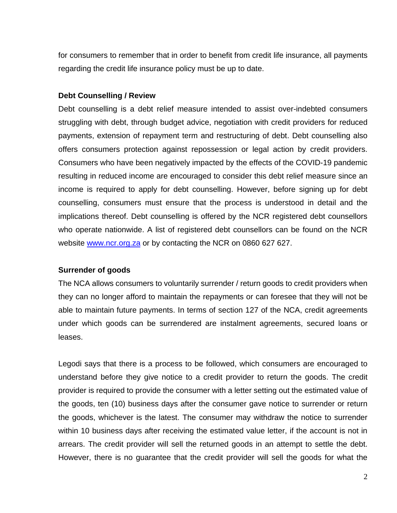for consumers to remember that in order to benefit from credit life insurance, all payments regarding the credit life insurance policy must be up to date.

## **Debt Counselling / Review**

Debt counselling is a debt relief measure intended to assist over-indebted consumers struggling with debt, through budget advice, negotiation with credit providers for reduced payments, extension of repayment term and restructuring of debt. Debt counselling also offers consumers protection against repossession or legal action by credit providers. Consumers who have been negatively impacted by the effects of the COVID-19 pandemic resulting in reduced income are encouraged to consider this debt relief measure since an income is required to apply for debt counselling. However, before signing up for debt counselling, consumers must ensure that the process is understood in detail and the implications thereof. Debt counselling is offered by the NCR registered debt counsellors who operate nationwide. A list of registered debt counsellors can be found on the NCR website [www.ncr.org.za](http://www.ncr.org.za/) or by contacting the NCR on 0860 627 627.

# **Surrender of goods**

The NCA allows consumers to voluntarily surrender / return goods to credit providers when they can no longer afford to maintain the repayments or can foresee that they will not be able to maintain future payments. In terms of section 127 of the NCA, credit agreements under which goods can be surrendered are instalment agreements, secured loans or leases.

Legodi says that there is a process to be followed, which consumers are encouraged to understand before they give notice to a credit provider to return the goods. The credit provider is required to provide the consumer with a letter setting out the estimated value of the goods, ten (10) business days after the consumer gave notice to surrender or return the goods, whichever is the latest. The consumer may withdraw the notice to surrender within 10 business days after receiving the estimated value letter, if the account is not in arrears. The credit provider will sell the returned goods in an attempt to settle the debt. However, there is no guarantee that the credit provider will sell the goods for what the